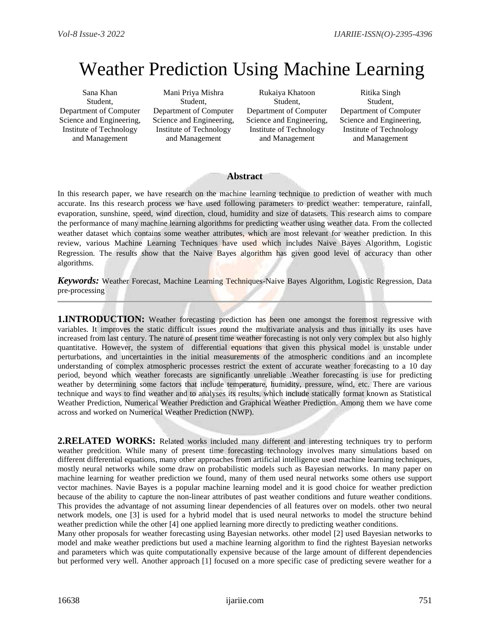# Weather Prediction Using Machine Learning

Sana Khan Student, Department of Computer Science and Engineering, Institute of Technology and Management

Mani Priya Mishra Student, Department of Computer Science and Engineering, Institute of Technology and Management

Rukaiya Khatoon Student, Department of Computer Science and Engineering, Institute of Technology and Management

Ritika Singh Student, Department of Computer Science and Engineering, Institute of Technology and Management

### **Abstract**

In this research paper, we have research on the machine learning technique to prediction of weather with much accurate. Ins this research process we have used following parameters to predict weather: temperature, rainfall, evaporation, sunshine, speed, wind direction, cloud, humidity and size of datasets. This research aims to compare the performance of many machine learning algorithms for predicting weather using weather data. From the collected weather dataset which contains some weather attributes, which are most relevant for weather prediction. In this review, various Machine Learning Techniques have used which includes Naive Bayes Algorithm, Logistic Regression. The results show that the Naive Bayes algorithm has given good level of accuracy than other algorithms.

*Keywords:* Weather Forecast, Machine Learning Techniques-Naive Bayes Algorithm, Logistic Regression, Data pre-processing

**1.INTRODUCTION:** Weather forecasting prediction has been one amongst the foremost regressive with variables. It improves the static difficult issues round the multivariate analysis and thus initially its uses have increased from last century. The nature of present time weather forecasting is not only very complex but also highly quantitative. However, the system of differential equations that given this physical model is unstable under perturbations, and uncertainties in the initial measurements of the atmospheric conditions and an incomplete understanding of complex atmospheric processes restrict the extent of accurate weather forecasting to a 10 day period, beyond which weather forecasts are significantly unreliable .Weather forecasting is use for predicting weather by determining some factors that include temperature, humidity, pressure, wind, etc. There are various technique and ways to find weather and to analyses its results, which include statically format known as Statistical Weather Prediction, Numerical Weather Prediction and Graphical Weather Prediction. Among them we have come across and worked on Numerical Weather Prediction (NWP).

**2.RELATED WORKS:** Related works included many different and interesting techniques try to perform weather predcition. While many of present time forecasting technology involves many simulations based on different differential equations, many other approaches from artificial intelligence used machine learning techniques, mostly neural networks while some draw on probabilistic models such as Bayesian networks. In many paper on machine learning for weather prediction we found, many of them used neural networks some others use support vector machines. Navie Bayes is a popular machine learning model and it is good choice for weather prediction because of the ability to capture the non-linear attributes of past weather conditions and future weather conditions. This provides the advantage of not assuming linear dependencies of all features over on models. other two neural network models, one [3] is used for a hybrid model that is used neural networks to model the structure behind weather prediction while the other [4] one applied learning more directly to predicting weather conditions.

Many other proposals for weather forecasting using Bayesian networks. other model [2] used Bayesian networks to model and make weather predictions but used a machine learning algorithm to find the rightest Bayesian networks and parameters which was quite computationally expensive because of the large amount of different dependencies but performed very well. Another approach [1] focused on a more specific case of predicting severe weather for a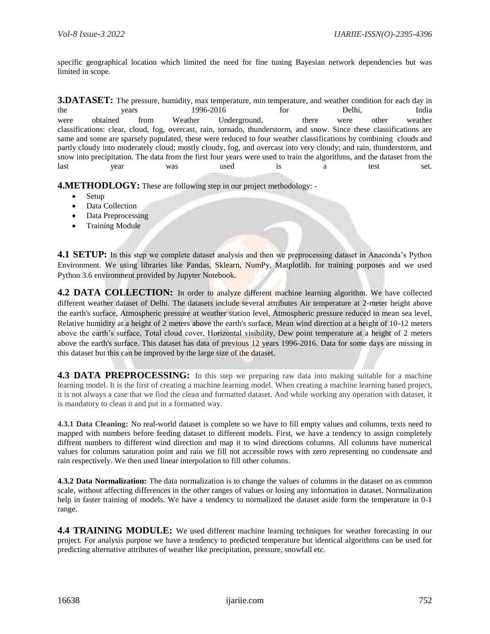specific geographical location which limited the need for fine tuning Bayesian network dependencies but was limited in scope.

**3.DATASET:** The pressure, humidity, max temperature, min temperature, and weather condition for each day in the years 1996-2016 for Delhi, India were obtained from Weather Underground. there were other weather classifications: clear, cloud, fog, overcast, rain, tornado, thunderstorm, and snow. Since these classifications are same and some are sparsely populated, these were reduced to four weather classifications by combining clouds and partly cloudy into moderately cloud; mostly cloudy, fog, and overcast into very cloudy; and rain, thunderstorm, and snow into precipitation. The data from the first four years were used to train the algorithms, and the dataset from the last year was used is a test set.

**4.METHODLOGY:** These are following step in our project methodology: -

- Setup
- Data Collection
- Data Preprocessing
- Training Module

**4.1 SETUP:** In this step we complete dataset analysis and then we preprocessing dataset in Anaconda's Python Environment. We using libraries like Pandas, Sklearn, NumPy, Matplotlib. for training purposes and we used Python 3.6 environment provided by Jupyter Notebook.

**4.2 DATA COLLECTION:** In order to analyze different machine learning algorithm. We have collected different weather dataset of Delhi. The datasets include several attributes Air temperature at 2-meter height above the earth's surface, Atmospheric pressure at weather station level, Atmospheric pressure reduced to mean sea level, Relative humidity at a height of 2 meters above the earth's surface, Mean wind direction at a height of 10-12 meters above the earth's surface, Total cloud cover, Horizontal visibility, Dew point temperature at a height of 2 meters above the earth's surface. This dataset has data of previous 12 years 1996-2016. Data for some days are missing in this dataset but this can be improved by the large size of the dataset.

**4.3 DATA PREPROCESSING:** In this step we preparing raw data into making suitable for a machine learning model. It is the first of creating a machine learning model. When creating a machine learning based project, it is not always a case that we find the clean and formatted dataset. And while working any operation with dataset, it is mandatory to clean it and put in a formatted way.

**4.3.1 Data Cleaning:** No real-world dataset is complete so we have to fill empty values and columns, texts need to mapped with numbers before feeding dataset to different models. First, we have a tendency to assign completely diffrent numbers to different wind direction and map it to wind directions columns. All columns have numerical values for columns saturation point and rain we fill not accessible rows with zero representing no condensate and rain respectively. We then used linear interpolation to fill other columns.

**4.3.2 Data Normalization:** The data normalization is to change the values of columns in the dataset on as common scale, without affecting differences in the other ranges of values or losing any information in dataset. Normalization help in faster training of models. We have a tendency to normalized the dataset aside form the temperature in 0-1 range.

**4.4 TRAINING MODULE:** We used different machine learning techniques for weather forecasting in our project. For analysis purpose we have a tendency to predicted temperature but identical algorithms can be used for predicting alternative attributes of weather like precipitation, pressure, snowfall etc.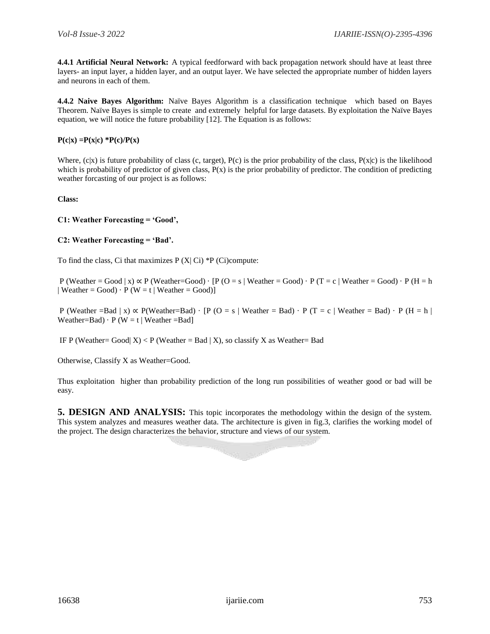**4.4.1 Artificial Neural Network:** A typical feedforward with back propagation network should have at least three layers- an input layer, a hidden layer, and an output layer. We have selected the appropriate number of hidden layers and neurons in each of them.

**4.4.2 Naive Bayes Algorithm:** Naïve Bayes Algorithm is a classification technique which based on Bayes Theorem. Naïve Bayes is simple to create and extremely helpful for large datasets. By exploitation the Naïve Bayes equation, we will notice the future probability [12]. The Equation is as follows:

 $P(c|x) = P(x|c) * P(c)/P(x)$ 

Where,  $(c|x)$  is future probability of class  $(c, target)$ ,  $P(c)$  is the prior probability of the class,  $P(x|c)$  is the likelihood which is probability of predictor of given class,  $P(x)$  is the prior probability of predictor. The condition of predicting weather forcasting of our project is as follows:

**Class:**

#### **C1: Weather Forecasting = 'Good',**

#### **C2: Weather Forecasting = 'Bad'.**

To find the class, Ci that maximizes  $P(X|C) * P(Ci)$ compute:

P (Weather = Good | x)  $\propto$  P (Weather=Good) · [P (O = s | Weather = Good) · P (T = c | Weather = Good) · P (H = h | Weather = Good)  $\cdot$  P (W = t | Weather = Good)]

P (Weather = Bad | x)  $\propto$  P(Weather=Bad) · [P (O = s | Weather = Bad) · P (T = c | Weather = Bad) · P (H = h | Weather=Bad)  $\cdot$  P (W = t | Weather =Bad]

IF P (Weather= Good| X) < P (Weather = Bad | X), so classify X as Weather= Bad

Otherwise, Classify X as Weather=Good.

Thus exploitation higher than probability prediction of the long run possibilities of weather good or bad will be easy.

**5. DESIGN AND ANALYSIS:** This topic incorporates the methodology within the design of the system. This system analyzes and measures weather data. The architecture is given in fig.3, clarifies the working model of the project. The design characterizes the behavior, structure and views of our system.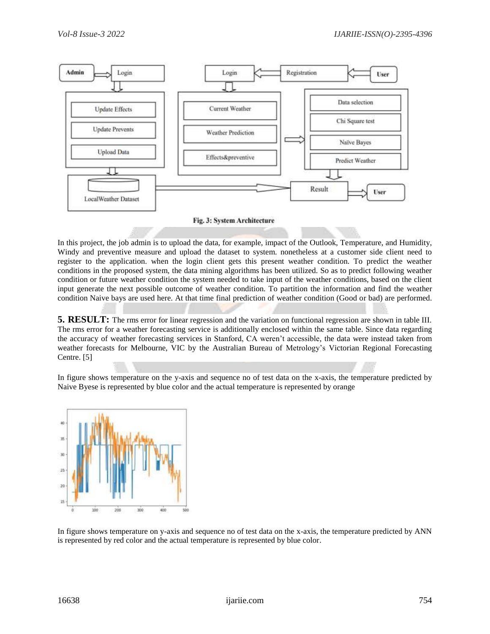

In this project, the job admin is to upload the data, for example, impact of the Outlook, Temperature, and Humidity, Windy and preventive measure and upload the dataset to system. nonetheless at a customer side client need to register to the application. when the login client gets this present weather condition. To predict the weather conditions in the proposed system, the data mining algorithms has been utilized. So as to predict following weather condition or future weather condition the system needed to take input of the weather conditions, based on the client input generate the next possible outcome of weather condition. To partition the information and find the weather condition Naive bays are used here. At that time final prediction of weather condition (Good or bad) are performed.

**5. RESULT:** The rms error for linear regression and the variation on functional regression are shown in table III. The rms error for a weather forecasting service is additionally enclosed within the same table. Since data regarding the accuracy of weather forecasting services in Stanford, CA weren't accessible, the data were instead taken from weather forecasts for Melbourne, VIC by the Australian Bureau of Metrology's Victorian Regional Forecasting Centre. [5]

In figure shows temperature on the y-axis and sequence no of test data on the x-axis, the temperature predicted by Naive Byese is represented by blue color and the actual temperature is represented by orange



In figure shows temperature on y-axis and sequence no of test data on the x-axis, the temperature predicted by ANN is represented by red color and the actual temperature is represented by blue color.